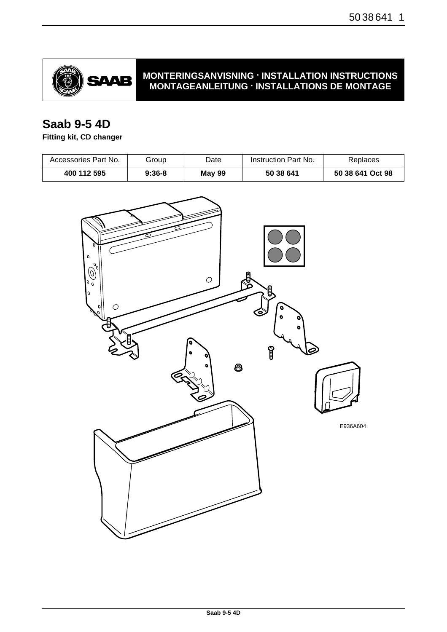

## **MONTERINGSANVISNING · INSTALLATION INSTRUCTIONS MONTAGEANLEITUNG · INSTALLATIONS DE MONTAGE**

# **Saab 9-5 4D**

## **Fitting kit, CD changer**

| Accessories Part No. | Group    | Date          | Instruction Part No. | Replaces         |
|----------------------|----------|---------------|----------------------|------------------|
| 400 112 595          | $9:36-8$ | <b>May 99</b> | 50 38 641            | 50 38 641 Oct 98 |

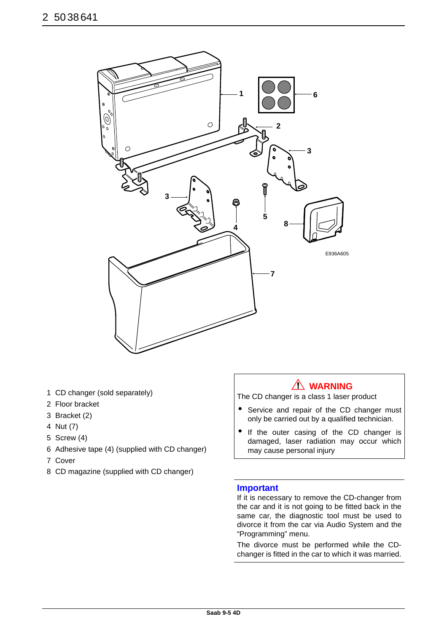

- 1 CD changer (sold separately)
- 2 Floor bracket
- 3 Bracket (2)
- 4 Nut (7)
- 5 Screw (4)
- 6 Adhesive tape (4) (supplied with CD changer)
- 7 Cover
- 8 CD magazine (supplied with CD changer)

## **WARNING**

The CD changer is a class 1 laser product

- Service and repair of the CD changer must only be carried out by a qualified technician.
- If the outer casing of the CD changer is damaged, laser radiation may occur which may cause personal injury

### **Important**

If it is necessary to remove the CD-changer from the car and it is not going to be fitted back in the same car, the diagnostic tool must be used to divorce it from the car via Audio System and the "Programming" menu.

The divorce must be performed while the CDchanger is fitted in the car to which it was married.